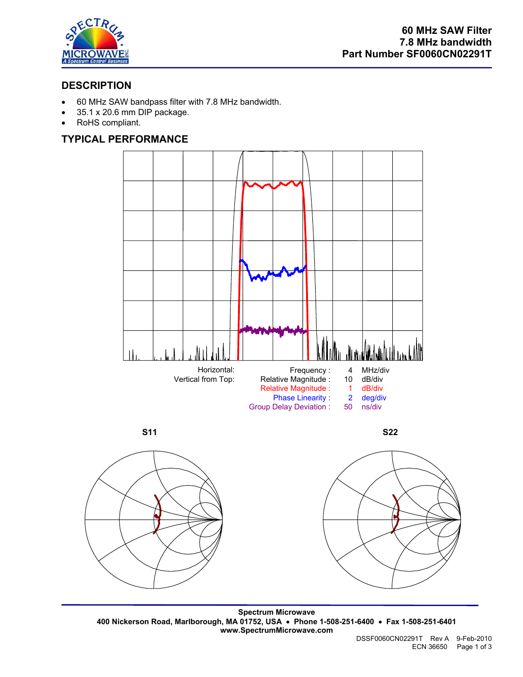

## **DESCRIPTION**

- 60 MHz SAW bandpass filter with 7.8 MHz bandwidth.
- 35.1 x 20.6 mm DIP package.
- RoHS compliant.

## **TYPICAL PERFORMANCE**



 **S11 S22** 







**Spectrum Microwave 400 Nickerson Road, Marlborough, MA 01752, USA** • **Phone 1-508-251-6400** • **Fax 1-508-251-6401 www.SpectrumMicrowave.com**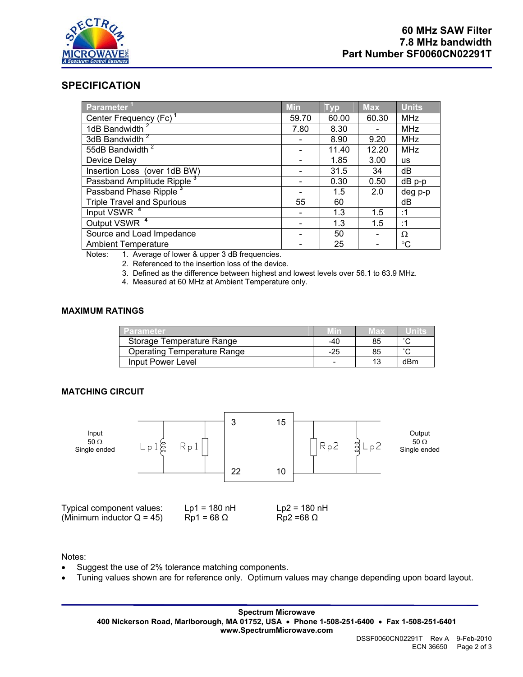

## **SPECIFICATION**

| Parameter <sup>11</sup>                | <b>Min</b> | <b>Typ</b> | <b>Max</b> | <b>Units</b> |
|----------------------------------------|------------|------------|------------|--------------|
| Center Frequency (Fc) <sup>1</sup>     | 59.70      | 60.00      | 60.30      | <b>MHz</b>   |
| 1dB Bandwidth <sup>2</sup>             | 7.80       | 8.30       |            | <b>MHz</b>   |
| 3dB Bandwidth <sup>2</sup>             |            | 8.90       | 9.20       | <b>MHz</b>   |
| 55dB Bandwidth <sup>2</sup>            |            | 11.40      | 12.20      | <b>MHz</b>   |
| Device Delay                           |            | 1.85       | 3.00       | <b>us</b>    |
| Insertion Loss (over 1dB BW)           |            | 31.5       | 34         | dB           |
| Passband Amplitude Ripple <sup>3</sup> |            | 0.30       | 0.50       | $dB$ p-p     |
| Passband Phase Ripple <sup>3</sup>     |            | 1.5        | 2.0        | deg p-p      |
| <b>Triple Travel and Spurious</b>      | 55         | 60         |            | dВ           |
| Input VSWR <sup>4</sup>                |            | 1.3        | 1.5        | :1           |
| Output VSWR <sup>4</sup>               |            | 1.3        | 1.5        | :1           |
| Source and Load Impedance              |            | 50         |            | Ω            |
| <b>Ambient Temperature</b>             |            | 25         |            | °C           |

Notes: 1. Average of lower & upper 3 dB frequencies.

2. Referenced to the insertion loss of the device.

3. Defined as the difference between highest and lowest levels over 56.1 to 63.9 MHz.

4. Measured at 60 MHz at Ambient Temperature only.

### **MAXIMUM RATINGS**

| <b>Parameter</b>                   |     | lax |        |
|------------------------------------|-----|-----|--------|
| Storage Temperature Range          | -40 | 85  | $\sim$ |
| <b>Operating Temperature Range</b> | -25 | 85  | $\sim$ |
| Input Power Level                  |     | 12  | dBm    |

#### **MATCHING CIRCUIT**



Notes:

- Suggest the use of 2% tolerance matching components.
- Tuning values shown are for reference only. Optimum values may change depending upon board layout.